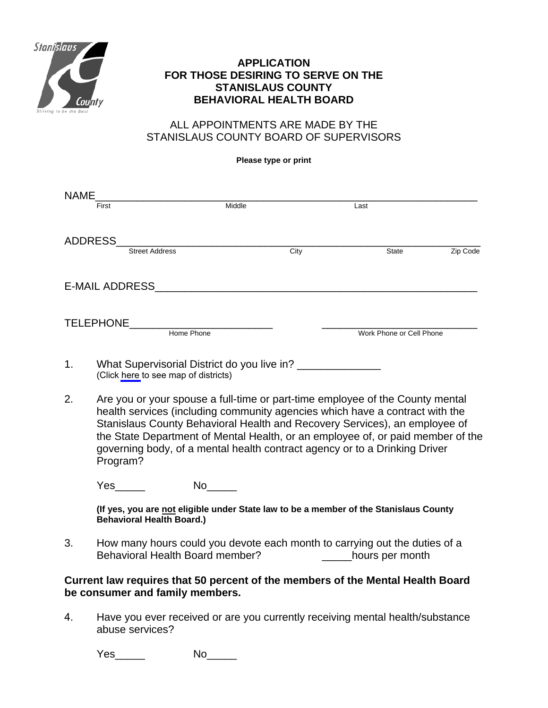

## **APPLICATION FOR THOSE DESIRING TO SERVE ON THE STANISLAUS COUNTY BEHAVIORAL HEALTH BOARD**

## ALL APPOINTMENTS ARE MADE BY THE STANISLAUS COUNTY BOARD OF SUPERVISORS

**Please type or print** 

| NAME                  |                                                                                                                                                                                                                                                                                                                                                                                                                          |          |      |                                                                                |          |
|-----------------------|--------------------------------------------------------------------------------------------------------------------------------------------------------------------------------------------------------------------------------------------------------------------------------------------------------------------------------------------------------------------------------------------------------------------------|----------|------|--------------------------------------------------------------------------------|----------|
|                       | First                                                                                                                                                                                                                                                                                                                                                                                                                    | Middle   |      | Last                                                                           |          |
|                       | ADDRESS<br><b>Street Address</b>                                                                                                                                                                                                                                                                                                                                                                                         |          | City | State                                                                          | Zip Code |
| <b>E-MAIL ADDRESS</b> |                                                                                                                                                                                                                                                                                                                                                                                                                          |          |      |                                                                                |          |
|                       |                                                                                                                                                                                                                                                                                                                                                                                                                          |          |      | Work Phone or Cell Phone                                                       |          |
| 1 <sub>1</sub>        | What Supervisorial District do you live in? ______________<br>(Click here to see map of districts)                                                                                                                                                                                                                                                                                                                       |          |      |                                                                                |          |
| 2.                    | Are you or your spouse a full-time or part-time employee of the County mental<br>health services (including community agencies which have a contract with the<br>Stanislaus County Behavioral Health and Recovery Services), an employee of<br>the State Department of Mental Health, or an employee of, or paid member of the<br>governing body, of a mental health contract agency or to a Drinking Driver<br>Program? |          |      |                                                                                |          |
|                       | <b>Yes</b>                                                                                                                                                                                                                                                                                                                                                                                                               | No______ |      |                                                                                |          |
|                       | (If yes, you are not eligible under State law to be a member of the Stanislaus County<br><b>Behavioral Health Board.)</b>                                                                                                                                                                                                                                                                                                |          |      |                                                                                |          |
| 3.                    | How many hours could you devote each month to carrying out the duties of a<br>Behavioral Health Board member?<br>hours per month                                                                                                                                                                                                                                                                                         |          |      |                                                                                |          |
|                       | be consumer and family members.                                                                                                                                                                                                                                                                                                                                                                                          |          |      | Current law requires that 50 percent of the members of the Mental Health Board |          |

4. Have you ever received or are you currently receiving mental health/substance abuse services?

Yes\_\_\_\_\_\_\_ No\_\_\_\_\_\_